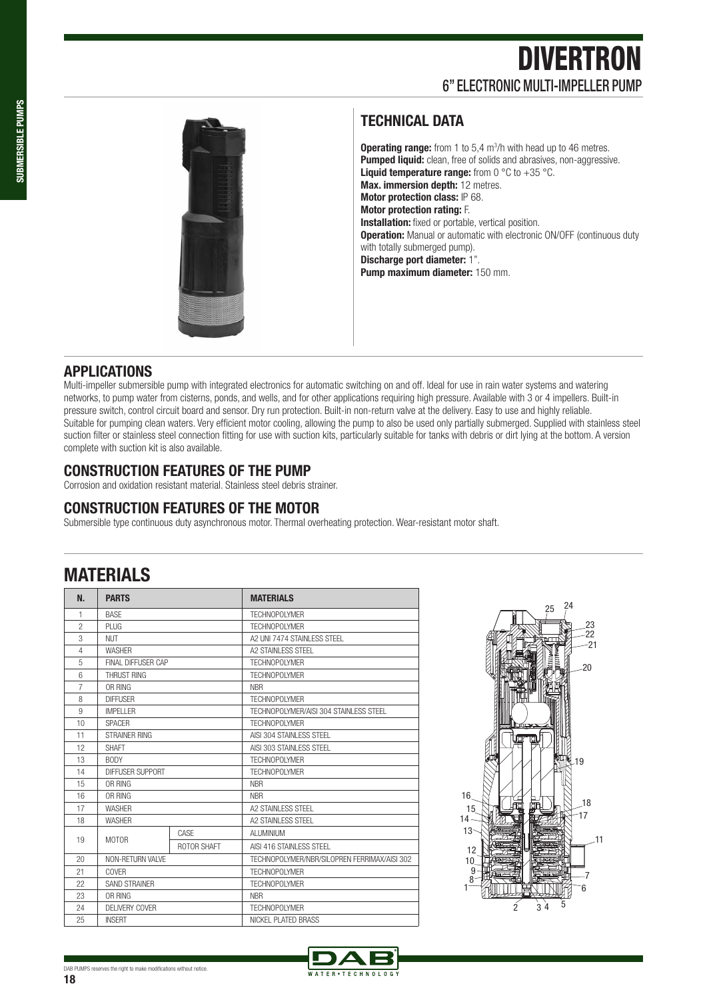## **DIVERTRON** 6" ELECTRONIC MULTI-IMPELLER PUMP



#### **TECHNICAL DATA**

**Operating range:** from 1 to 5,4 m<sup>3</sup>/h with head up to 46 metres. **Pumped liquid:** clean, free of solids and abrasives, non-aggressive. **Liquid temperature range:** from 0 °C to +35 °C. **Max. immersion depth:** 12 metres. **Motor protection class:** IP 68. **Motor protection rating:** F. **Installation:** fixed or portable, vertical position. **Operation:** Manual or automatic with electronic ON/OFF (continuous duty with totally submerged pump). **Discharge port diameter:** 1". **Pump maximum diameter:** 150 mm.

#### **APPLICATIONS**

Multi-impeller submersible pump with integrated electronics for automatic switching on and off. Ideal for use in rain water systems and watering networks, to pump water from cisterns, ponds, and wells, and for other applications requiring high pressure. Available with 3 or 4 impellers. Built-in pressure switch, control circuit board and sensor. Dry run protection. Built-in non-return valve at the delivery. Easy to use and highly reliable. Suitable for pumping clean waters. Very efficient motor cooling, allowing the pump to also be used only partially submerged. Supplied with stainless steel suction filter or stainless steel connection fitting for use with suction kits, particularly suitable for tanks with debris or dirt lying at the bottom. A version complete with suction kit is also available.

#### **CONSTRUCTION FEATURES OF THE PUMP**

Corrosion and oxidation resistant material. Stainless steel debris strainer.

#### **CONSTRUCTION FEATURES OF THE MOTOR**

Submersible type continuous duty asynchronous motor. Thermal overheating protection. Wear-resistant motor shaft.

### **MATERIALS**

| N.             | <b>PARTS</b>         |                    | <b>MATERIALS</b>                            |  |  |  |  |  |  |  |
|----------------|----------------------|--------------------|---------------------------------------------|--|--|--|--|--|--|--|
| 1              | <b>BASF</b>          |                    | TFCHNOPOI YMFR                              |  |  |  |  |  |  |  |
| $\mathfrak{p}$ | PI UG                |                    | TFCHNOPOI YMFR                              |  |  |  |  |  |  |  |
| 3              | <b>NUT</b>           |                    | A2 UNI 7474 STAINI FSS STEEL                |  |  |  |  |  |  |  |
| $\overline{4}$ | <b>WASHFR</b>        |                    | A2 STAINI FSS STFFL                         |  |  |  |  |  |  |  |
| 5              | FINAL DIFFUSER CAP   |                    | TFCHNOPOI YMFR                              |  |  |  |  |  |  |  |
| 6              | THRUST RING          |                    | TFCHNOPOI YMFR                              |  |  |  |  |  |  |  |
| $\overline{7}$ | OR RING              |                    | <b>NBR</b>                                  |  |  |  |  |  |  |  |
| 8              | <b>DIFFUSER</b>      |                    | TFCHNOPOI YMFR                              |  |  |  |  |  |  |  |
| 9              | <b>IMPFI I FR</b>    |                    | TECHNOPOLYMER/AISL304 STAINLESS STEEL       |  |  |  |  |  |  |  |
| 10             | <b>SPACER</b>        |                    | TFCHNOPOI YMFR                              |  |  |  |  |  |  |  |
| 11             | STRAINFR RING        |                    | AISI 304 STAINI FSS STEEL                   |  |  |  |  |  |  |  |
| 12             | <b>SHAFT</b>         |                    | AISI 303 STAINI FSS STEEL                   |  |  |  |  |  |  |  |
| 13             | <b>BODY</b>          |                    | TFCHNOPOI YMFR                              |  |  |  |  |  |  |  |
| 14             | DIFFUSER SUPPORT     |                    | TFCHNOPOI YMFR                              |  |  |  |  |  |  |  |
| 15             | OR RING              |                    | <b>NBR</b>                                  |  |  |  |  |  |  |  |
| 16             | OR RING              |                    | <b>NBR</b>                                  |  |  |  |  |  |  |  |
| 17             | <b>WASHFR</b>        |                    | A2 STAINI FSS STEEL                         |  |  |  |  |  |  |  |
| 18             | <b>WASHER</b>        |                    | A2 STAINI FSS STFFL                         |  |  |  |  |  |  |  |
| 19             | <b>MOTOR</b>         | CASE               | AI UMINIUM                                  |  |  |  |  |  |  |  |
|                |                      | <b>ROTOR SHAFT</b> | AISI 416 STAINI FSS STEEL                   |  |  |  |  |  |  |  |
| 20             | NON-RETURN VALVE     |                    | TECHNOPOLYMER/NBR/SILOPREN FERRIMAX/AISL302 |  |  |  |  |  |  |  |
| 21             | COVER                |                    | <b>TFCHNOPOI YMFR</b>                       |  |  |  |  |  |  |  |
| 22             | <b>SAND STRAINER</b> |                    | TFCHNOPOI YMFR                              |  |  |  |  |  |  |  |
| 23             | OR RING              |                    | <b>NBR</b>                                  |  |  |  |  |  |  |  |
| 24             | DFI IVERY COVER      |                    | TFCHNOPOI YMFR                              |  |  |  |  |  |  |  |
| 25             | <b>INSFRT</b>        |                    | NICKEL PLATED BRASS                         |  |  |  |  |  |  |  |